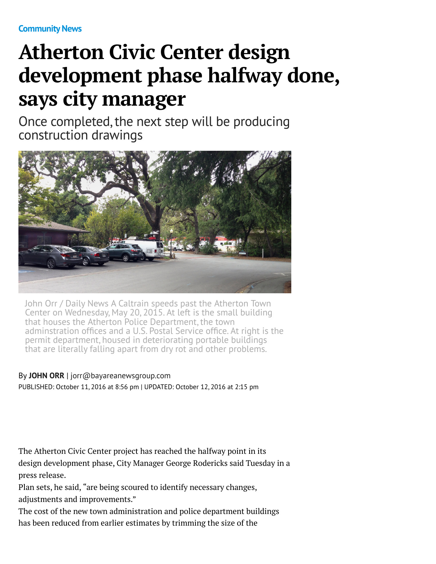**[Community News](http://www.mercurynews.com/community-news/)**

# **Atherton Civic Center design development phase halfway done, says city manager**

Once completed, the next step will be producing construction drawings



John Orr / Daily News A Caltrain speeds past the Atherton Town Center on Wednesday, May 20, 2015. At left is the small building that houses the Atherton Police Department, the town adminstration offices and a U.S. Postal Service office. At right is the permit department, housed in deteriorating portable buildings that are literally falling apart from dry rot and other problems.

#### By **[JOHN ORR](http://www.mercurynews.com/author/john-orr/)** | [jorr@bayareanewsgroup.com](mailto:jorr@bayareanewsgroup.com) PUBLISHED: October 11, 2016 at 8:56 pm | UPDATED: October 12, 2016 at 2:15 pm

The Atherton Civic Center project has reached the halfway point in its design development phase, City Manager George Rodericks said Tuesday in a press release.

Plan sets, he said, "are being scoured to identify necessary changes, adjustments and improvements."

The cost of the new town administration and police department buildings has been reduced from earlier estimates by trimming the size of the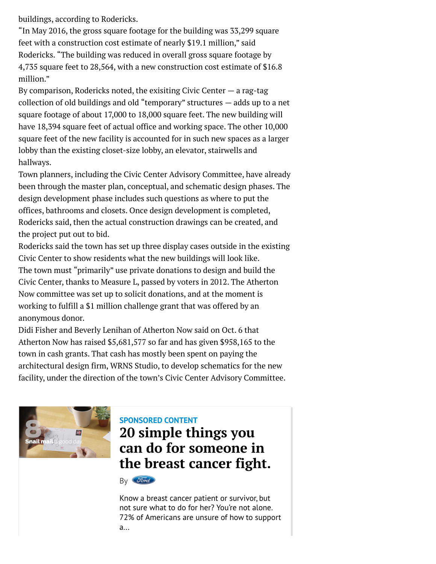buildings, according to Rodericks.

"In May 2016, the gross square footage for the building was 33,299 square feet with a construction cost estimate of nearly \$19.1 million," said Rodericks. "The building was reduced in overall gross square footage by 4,735 square feet to 28,564, with a new construction cost estimate of \$16.8 million."

By comparison, Rodericks noted, the exisiting Civic Center  $-$  a rag-tag collection of old buildings and old "temporary" structures — adds up to a net square footage of about 17,000 to 18,000 square feet. The new building will have 18,394 square feet of actual office and working space. The other 10,000 square feet of the new facility is accounted for in such new spaces as a larger lobby than the existing closet-size lobby, an elevator, stairwells and hallways.

Town planners, including the Civic Center Advisory Committee, have already been through the master plan, conceptual, and schematic design phases. The design development phase includes such questions as where to put the offices, bathrooms and closets. Once design development is completed, Rodericks said, then the actual construction drawings can be created, and the project put out to bid.

Rodericks said the town has set up three display cases outside in the existing Civic Center to show residents what the new buildings will look like. The town must "primarily" use private donations to design and build the Civic Center, thanks to Measure L, passed by voters in 2012. The Atherton Now committee was set up to solicit donations, and at the moment is working to fulfill a \$1 million challenge grant that was offered by an anonymous donor.

Didi Fisher and Beverly Lenihan of Atherton Now said on Oct. 6 that Atherton Now has raised \$5,681,577 so far and has given \$958,165 to the town in cash grants. That cash has mostly been spent on paying the architectural design firm, WRNS Studio, to develop schematics for the new facility, under the direction of the town's Civic Center Advisory Committee.



### **SPONSORED CONTENT 20 simple things you can do for someone in [the breast cancer fight.](http://www.mercurynews.com/sponsor-content?prx_t=2EgCAqG8IArLEPA&ntv_fr)**



Know a breast cancer patient or survivor, but not sure what to do for her? You're not alone. 72% of Americans are unsure of how to support a...